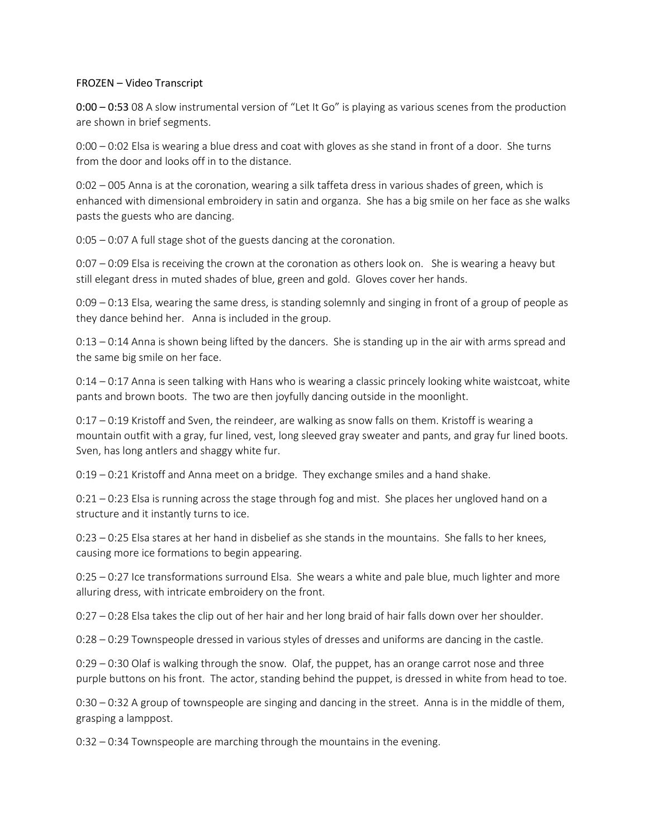## FROZEN – Video Transcript

0:00 – 0:53 08 A slow instrumental version of "Let It Go" is playing as various scenes from the production are shown in brief segments.

0:00 – 0:02 Elsa is wearing a blue dress and coat with gloves as she stand in front of a door. She turns from the door and looks off in to the distance.

0:02 – 005 Anna is at the coronation, wearing a silk taffeta dress in various shades of green, which is enhanced with dimensional embroidery in satin and organza. She has a big smile on her face as she walks pasts the guests who are dancing.

0:05 – 0:07 A full stage shot of the guests dancing at the coronation.

 $0:07 - 0:09$  Elsa is receiving the crown at the coronation as others look on. She is wearing a heavy but still elegant dress in muted shades of blue, green and gold. Gloves cover her hands.

0:09 – 0:13 Elsa, wearing the same dress, is standing solemnly and singing in front of a group of people as they dance behind her. Anna is included in the group.

0:13 – 0:14 Anna is shown being lifted by the dancers. She is standing up in the air with arms spread and the same big smile on her face.

0:14 – 0:17 Anna is seen talking with Hans who is wearing a classic princely looking white waistcoat, white pants and brown boots. The two are then joyfully dancing outside in the moonlight.

0:17 – 0:19 Kristoff and Sven, the reindeer, are walking as snow falls on them. Kristoff is wearing a mountain outfit with a gray, fur lined, vest, long sleeved gray sweater and pants, and gray fur lined boots. Sven, has long antlers and shaggy white fur.

0:19 – 0:21 Kristoff and Anna meet on a bridge. They exchange smiles and a hand shake.

0:21 – 0:23 Elsa is running across the stage through fog and mist. She places her ungloved hand on a structure and it instantly turns to ice.

0:23 – 0:25 Elsa stares at her hand in disbelief as she stands in the mountains. She falls to her knees, causing more ice formations to begin appearing.

0:25 – 0:27 Ice transformations surround Elsa. She wears a white and pale blue, much lighter and more alluring dress, with intricate embroidery on the front.

0:27 – 0:28 Elsa takes the clip out of her hair and her long braid of hair falls down over her shoulder.

0:28 – 0:29 Townspeople dressed in various styles of dresses and uniforms are dancing in the castle.

0:29 – 0:30 Olaf is walking through the snow. Olaf, the puppet, has an orange carrot nose and three purple buttons on his front. The actor, standing behind the puppet, is dressed in white from head to toe.

0:30 – 0:32 A group of townspeople are singing and dancing in the street. Anna is in the middle of them, grasping a lamppost.

0:32 – 0:34 Townspeople are marching through the mountains in the evening.